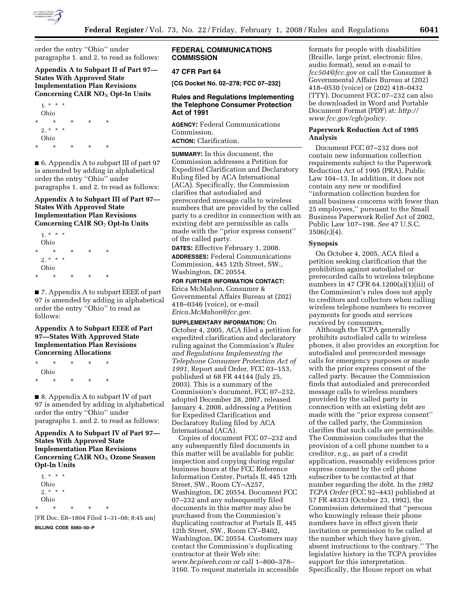

order the entry ''Ohio'' under paragraphs 1. and 2. to read as follows:

## **Appendix A to Subpart II of Part 97— States With Approved State Implementation Plan Revisions Concerning CAIR NO**X **Opt-In Units**



■ 6. Appendix A to subpart III of part 97 is amended by adding in alphabetical order the entry ''Ohio'' under paragraphs 1. and 2. to read as follows:

## **Appendix A to Subpart III of Part 97— States With Approved State Implementation Plan Revisions Concerning CAIR SO**2 **Opt-In Units**



■ 7. Appendix A to subpart EEEE of part 97 is amended by adding in alphabetical order the entry ''Ohio'' to read as follows:

# **Appendix A to Subpart EEEE of Part 97—States With Approved State Implementation Plan Revisions Concerning Allocations**

\* \* \* \* \* Ohio \* \* \* \* \*

■ 8. Appendix A to subpart IV of part 97 is amended by adding in alphabetical order the entry ''Ohio'' under paragraphs 1. and 2. to read as follows:

## **Appendix A to Subpart IV of Part 97— States With Approved State Implementation Plan Revisions Concerning CAIR NO**X **Ozone Season Opt-In Units**

| $1. * * * *$ |   |   |   |
|--------------|---|---|---|
| Ohio         |   |   |   |
| $2.*$ * *    |   |   |   |
| Ohio         |   |   |   |
| ÷            | ÷ | ÷ | ÷ |

[FR Doc. E8–1804 Filed 1–31–08; 8:45 am] **BILLING CODE 6560–50–P** 

### **FEDERAL COMMUNICATIONS COMMISSION**

#### **47 CFR Part 64**

**[CG Docket No. 02–278; FCC 07–232]** 

### **Rules and Regulations Implementing the Telephone Consumer Protection Act of 1991**

**AGENCY:** Federal Communications Commission. **ACTION:** Clarification.

**SUMMARY:** In this document, the Commission addresses a Petition for Expedited Clarification and Declaratory Ruling filed by ACA International (ACA). Specifically, the Commission clarifies that autodialed and prerecorded message calls to wireless numbers that are provided by the called party to a creditor in connection with an existing debt are permissible as calls made with the ''prior express consent'' of the called party.

**DATES:** Effective February 1, 2008. **ADDRESSES:** Federal Communications Commission, 445 12th Street, SW., Washington, DC 20554.

**FOR FURTHER INFORMATION CONTACT:**  Erica McMahon, Consumer & Governmental Affairs Bureau at (202) 418–0346 (voice), or e-mail *Erica.McMahon@fcc.gov.* 

**SUPPLEMENTARY INFORMATION:** On October 4, 2005, ACA filed a petition for expedited clarification and declaratory ruling against the Commission's *Rules and Regulations Implementing the Telephone Consumer Protection Act of 1991,* Report and Order, FCC 03–153, published at 68 FR 44144 (July 25, 2003). This is a summary of the Commission's document, FCC 07–232, adopted December 28, 2007, released January 4, 2008, addressing a Petition for Expedited Clarification and Declaratory Ruling filed by ACA International (ACA).

Copies of document FCC 07–232 and any subsequently filed documents in this matter will be available for public inspection and copying during regular business hours at the FCC Reference Information Center, Portals II, 445 12th Street, SW., Room CY–A257, Washington, DC 20554. Document FCC 07–232 and any subsequently filed documents in this matter may also be purchased from the Commission's duplicating contractor at Portals II, 445 12th Street, SW., Room CY–B402, Washington, DC 20554. Customers may contact the Commission's duplicating contractor at their Web site: *www.bcpiweb.com* or call 1–800–378– 3160. To request materials in accessible

formats for people with disabilities (Braille, large print, electronic files, audio format), send an e-mail to *fcc504@fcc.gov* or call the Consumer & Governmental Affairs Bureau at (202) 418–0530 (voice) or (202) 418–0432 (TTY). Document FCC 07–232 can also be downloaded in Word and Portable Document Format (PDF) at: *http:// www.fcc.gov/cgb/policy.* 

#### **Paperwork Reduction Act of 1995 Analysis**

Document FCC 07–232 does not contain new information collection requirements subject to the Paperwork Reduction Act of 1995 (PRA), Public Law 104–13. In addition, it does not contain any new or modified ''information collection burden for small business concerns with fewer than 25 employees,'' pursuant to the Small Business Paperwork Relief Act of 2002, Public Law 107–198. *See* 47 U.S.C.  $3506(c)(4)$ .

#### **Synopsis**

On October 4, 2005, ACA filed a petition seeking clarification that the prohibition against autodialed or prerecorded calls to wireless telephone numbers in 47 CFR 64.1200(a)(1)(iii) of the Commission's rules does not apply to creditors and collectors when calling wireless telephone numbers to recover payments for goods and services received by consumers.

Although the TCPA generally prohibits autodialed calls to wireless phones, it also provides an exception for autodialed and prerecorded message calls for emergency purposes or made with the prior express consent of the called party. Because the Commission finds that autodialed and prerecorded message calls to wireless numbers provided by the called party in connection with an existing debt are made with the ''prior express consent'' of the called party, the Commission clarifies that such calls are permissible. The Commission concludes that the provision of a cell phone number to a creditor, e.g., as part of a credit application, reasonably evidences prior express consent by the cell phone subscriber to be contacted at that number regarding the debt. In the *1992 TCPA Order* (FCC 92–443) published at 57 FR 48333 (October 23, 1992), the Commission determined that ''persons who knowingly release their phone numbers have in effect given their invitation or permission to be called at the number which they have given, absent instructions to the contrary.'' The legislative history in the TCPA provides support for this interpretation. Specifically, the House report on what